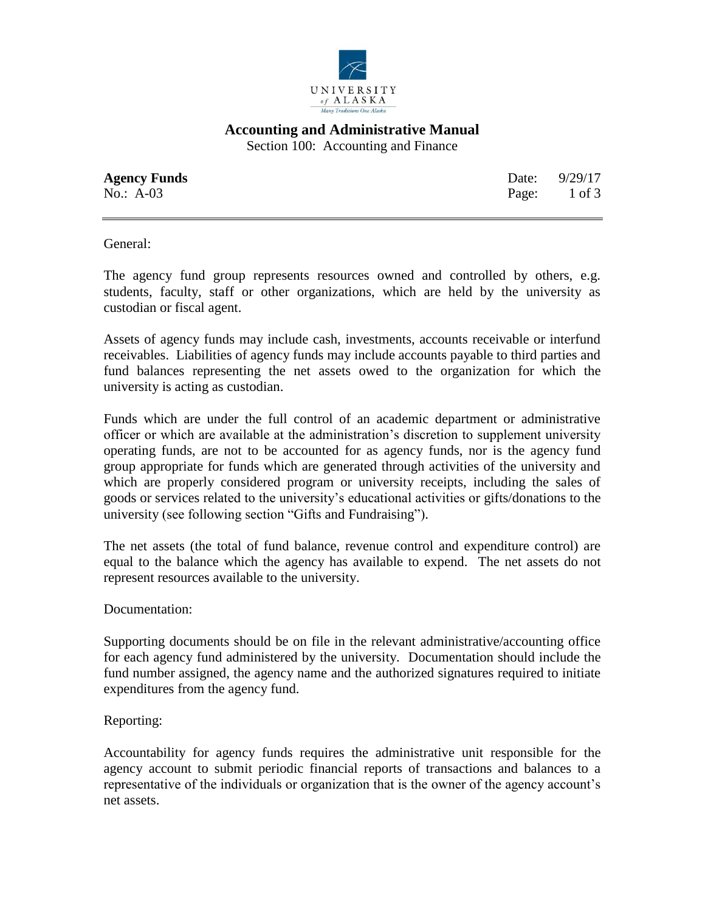

## **Accounting and Administrative Manual**

Section 100: Accounting and Finance

**Agency Funds** Date: 9/29/17 No.: A-03 Page: 1 of 3

General:

The agency fund group represents resources owned and controlled by others, e.g. students, faculty, staff or other organizations, which are held by the university as custodian or fiscal agent.

Assets of agency funds may include cash, investments, accounts receivable or interfund receivables. Liabilities of agency funds may include accounts payable to third parties and fund balances representing the net assets owed to the organization for which the university is acting as custodian.

Funds which are under the full control of an academic department or administrative officer or which are available at the administration's discretion to supplement university operating funds, are not to be accounted for as agency funds, nor is the agency fund group appropriate for funds which are generated through activities of the university and which are properly considered program or university receipts, including the sales of goods or services related to the university's educational activities or gifts/donations to the university (see following section "Gifts and Fundraising").

The net assets (the total of fund balance, revenue control and expenditure control) are equal to the balance which the agency has available to expend. The net assets do not represent resources available to the university.

Documentation:

Supporting documents should be on file in the relevant administrative/accounting office for each agency fund administered by the university. Documentation should include the fund number assigned, the agency name and the authorized signatures required to initiate expenditures from the agency fund.

### Reporting:

Accountability for agency funds requires the administrative unit responsible for the agency account to submit periodic financial reports of transactions and balances to a representative of the individuals or organization that is the owner of the agency account's net assets.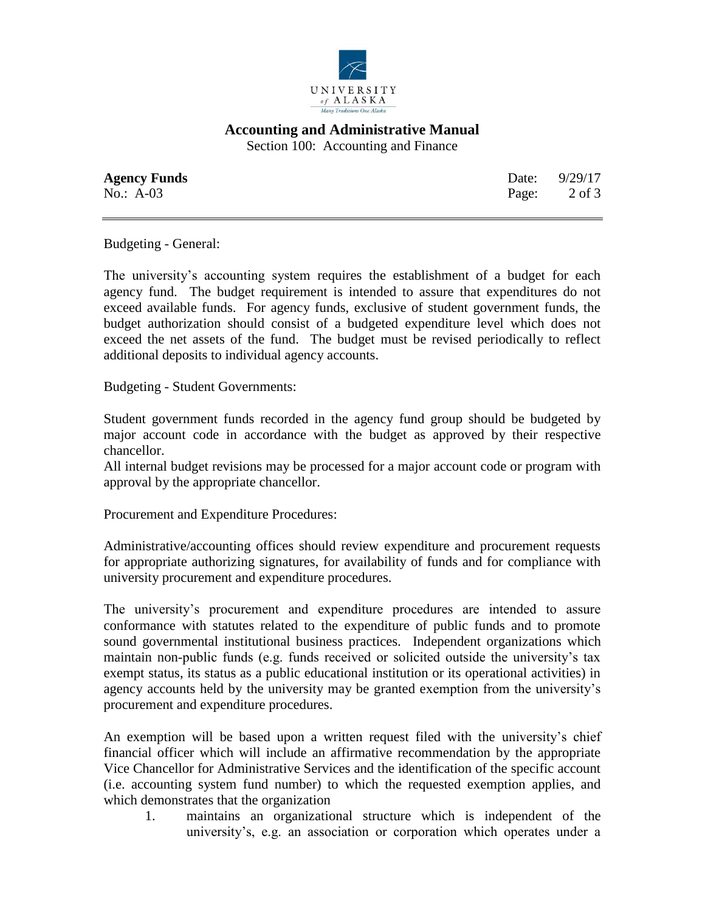

# **Accounting and Administrative Manual**

Section 100: Accounting and Finance

| <b>Agency Funds</b> | Date: 9/29/17 |
|---------------------|---------------|
| No.: $A-03$         | Page: 2 of 3  |

Budgeting - General:

The university's accounting system requires the establishment of a budget for each agency fund. The budget requirement is intended to assure that expenditures do not exceed available funds. For agency funds, exclusive of student government funds, the budget authorization should consist of a budgeted expenditure level which does not exceed the net assets of the fund. The budget must be revised periodically to reflect additional deposits to individual agency accounts.

Budgeting - Student Governments:

Student government funds recorded in the agency fund group should be budgeted by major account code in accordance with the budget as approved by their respective chancellor.

All internal budget revisions may be processed for a major account code or program with approval by the appropriate chancellor.

Procurement and Expenditure Procedures:

Administrative/accounting offices should review expenditure and procurement requests for appropriate authorizing signatures, for availability of funds and for compliance with university procurement and expenditure procedures.

The university's procurement and expenditure procedures are intended to assure conformance with statutes related to the expenditure of public funds and to promote sound governmental institutional business practices. Independent organizations which maintain non-public funds (e.g. funds received or solicited outside the university's tax exempt status, its status as a public educational institution or its operational activities) in agency accounts held by the university may be granted exemption from the university's procurement and expenditure procedures.

An exemption will be based upon a written request filed with the university's chief financial officer which will include an affirmative recommendation by the appropriate Vice Chancellor for Administrative Services and the identification of the specific account (i.e. accounting system fund number) to which the requested exemption applies, and which demonstrates that the organization

1. maintains an organizational structure which is independent of the university's, e.g. an association or corporation which operates under a